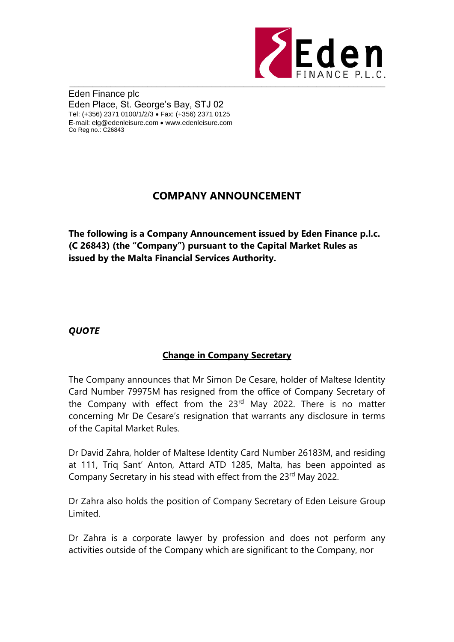

Eden Finance plc Eden Place, St. George's Bay, STJ 02 Tel: (+356) 2371 0100/1/2/3 Fax: (+356) 2371 0125 E-mail: elg@edenleisure.com www.edenleisure.com Co Reg no.: C26843

## **COMPANY ANNOUNCEMENT**

**The following is a Company Announcement issued by Eden Finance p.l.c. (C 26843) (the "Company") pursuant to the Capital Market Rules as issued by the Malta Financial Services Authority.** 

## *QUOTE*

## **Change in Company Secretary**

The Company announces that Mr Simon De Cesare, holder of Maltese Identity Card Number 79975M has resigned from the office of Company Secretary of the Company with effect from the 23<sup>rd</sup> May 2022. There is no matter concerning Mr De Cesare's resignation that warrants any disclosure in terms of the Capital Market Rules.

Dr David Zahra, holder of Maltese Identity Card Number 26183M, and residing at 111, Triq Sant' Anton, Attard ATD 1285, Malta, has been appointed as Company Secretary in his stead with effect from the 23<sup>rd</sup> May 2022.

Dr Zahra also holds the position of Company Secretary of Eden Leisure Group Limited.

Dr Zahra is a corporate lawyer by profession and does not perform any activities outside of the Company which are significant to the Company, nor